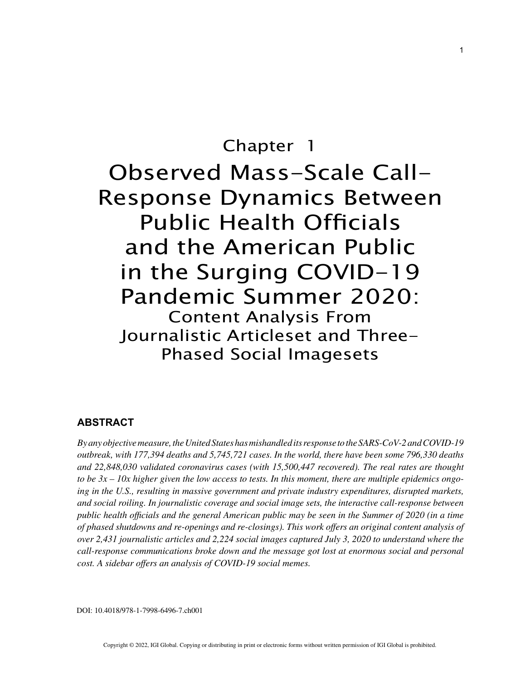# Chapter 1 Observed Mass-Scale Call-Response Dynamics Between Public Health Officials and the American Public in the Surging COVID-19 Pandemic Summer 2020: Content Analysis From Journalistic Articleset and Three-Phased Social Imagesets

# **ABSTRACT**

*By any objective measure, the United States has mishandled its response to the SARS-CoV-2 and COVID-19 outbreak, with 177,394 deaths and 5,745,721 cases. In the world, there have been some 796,330 deaths and 22,848,030 validated coronavirus cases (with 15,500,447 recovered). The real rates are thought to be 3x – 10x higher given the low access to tests. In this moment, there are multiple epidemics ongoing in the U.S., resulting in massive government and private industry expenditures, disrupted markets, and social roiling. In journalistic coverage and social image sets, the interactive call-response between public health officials and the general American public may be seen in the Summer of 2020 (in a time of phased shutdowns and re-openings and re-closings). This work offers an original content analysis of over 2,431 journalistic articles and 2,224 social images captured July 3, 2020 to understand where the call-response communications broke down and the message got lost at enormous social and personal cost. A sidebar offers an analysis of COVID-19 social memes.*

DOI: 10.4018/978-1-7998-6496-7.ch001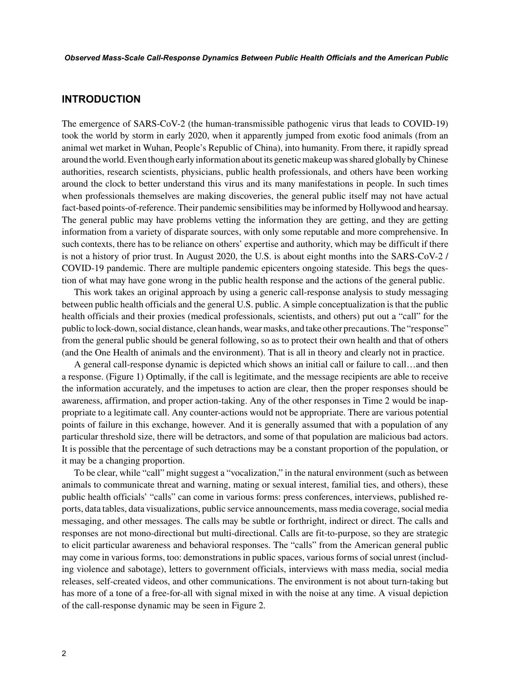### **INTRODUCTION**

The emergence of SARS-CoV-2 (the human-transmissible pathogenic virus that leads to COVID-19) took the world by storm in early 2020, when it apparently jumped from exotic food animals (from an animal wet market in Wuhan, People's Republic of China), into humanity. From there, it rapidly spread around the world. Even though early information about its genetic makeup was shared globally by Chinese authorities, research scientists, physicians, public health professionals, and others have been working around the clock to better understand this virus and its many manifestations in people. In such times when professionals themselves are making discoveries, the general public itself may not have actual fact-based points-of-reference. Their pandemic sensibilities may be informed by Hollywood and hearsay. The general public may have problems vetting the information they are getting, and they are getting information from a variety of disparate sources, with only some reputable and more comprehensive. In such contexts, there has to be reliance on others' expertise and authority, which may be difficult if there is not a history of prior trust. In August 2020, the U.S. is about eight months into the SARS-CoV-2 / COVID-19 pandemic. There are multiple pandemic epicenters ongoing stateside. This begs the question of what may have gone wrong in the public health response and the actions of the general public.

This work takes an original approach by using a generic call-response analysis to study messaging between public health officials and the general U.S. public. A simple conceptualization is that the public health officials and their proxies (medical professionals, scientists, and others) put out a "call" for the public to lock-down, social distance, clean hands, wear masks, and take other precautions. The "response" from the general public should be general following, so as to protect their own health and that of others (and the One Health of animals and the environment). That is all in theory and clearly not in practice.

A general call-response dynamic is depicted which shows an initial call or failure to call…and then a response. (Figure 1) Optimally, if the call is legitimate, and the message recipients are able to receive the information accurately, and the impetuses to action are clear, then the proper responses should be awareness, affirmation, and proper action-taking. Any of the other responses in Time 2 would be inappropriate to a legitimate call. Any counter-actions would not be appropriate. There are various potential points of failure in this exchange, however. And it is generally assumed that with a population of any particular threshold size, there will be detractors, and some of that population are malicious bad actors. It is possible that the percentage of such detractions may be a constant proportion of the population, or it may be a changing proportion.

To be clear, while "call" might suggest a "vocalization," in the natural environment (such as between animals to communicate threat and warning, mating or sexual interest, familial ties, and others), these public health officials' "calls" can come in various forms: press conferences, interviews, published reports, data tables, data visualizations, public service announcements, mass media coverage, social media messaging, and other messages. The calls may be subtle or forthright, indirect or direct. The calls and responses are not mono-directional but multi-directional. Calls are fit-to-purpose, so they are strategic to elicit particular awareness and behavioral responses. The "calls" from the American general public may come in various forms, too: demonstrations in public spaces, various forms of social unrest (including violence and sabotage), letters to government officials, interviews with mass media, social media releases, self-created videos, and other communications. The environment is not about turn-taking but has more of a tone of a free-for-all with signal mixed in with the noise at any time. A visual depiction of the call-response dynamic may be seen in Figure 2.